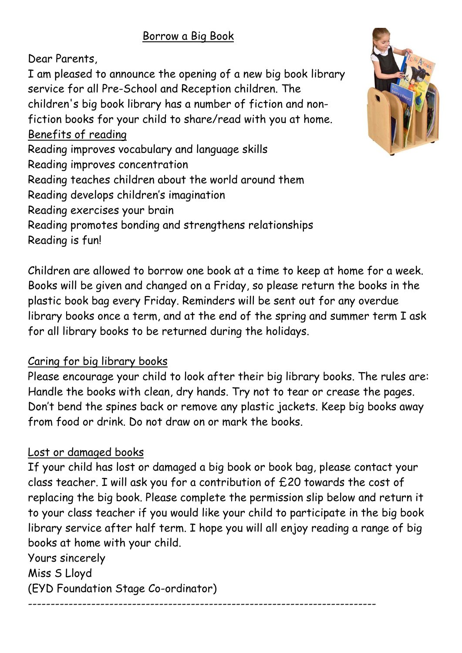## Borrow a Big Book

Dear Parents,

I am pleased to announce the opening of a new big book library service for all Pre-School and Reception children. The children's big book library has a number of fiction and nonfiction books for your child to share/read with you at home. Benefits of reading Reading improves vocabulary and language skills Reading improves concentration Reading teaches children about the world around them Reading develops children's imagination Reading exercises your brain Reading promotes bonding and strengthens relationships Reading is fun!

Children are allowed to borrow one book at a time to keep at home for a week. Books will be given and changed on a Friday, so please return the books in the plastic book bag every Friday. Reminders will be sent out for any overdue library books once a term, and at the end of the spring and summer term I ask for all library books to be returned during the holidays.

## Caring for big library books

Please encourage your child to look after their big library books. The rules are: Handle the books with clean, dry hands. Try not to tear or crease the pages. Don't bend the spines back or remove any plastic jackets. Keep big books away from food or drink. Do not draw on or mark the books.

## Lost or damaged books

If your child has lost or damaged a big book or book bag, please contact your class teacher. I will ask you for a contribution of £20 towards the cost of replacing the big book. Please complete the permission slip below and return it to your class teacher if you would like your child to participate in the big book library service after half term. I hope you will all enjoy reading a range of big books at home with your child.

-----------------------------------------------------------------------------

Yours sincerely Miss S Lloyd (EYD Foundation Stage Co-ordinator)